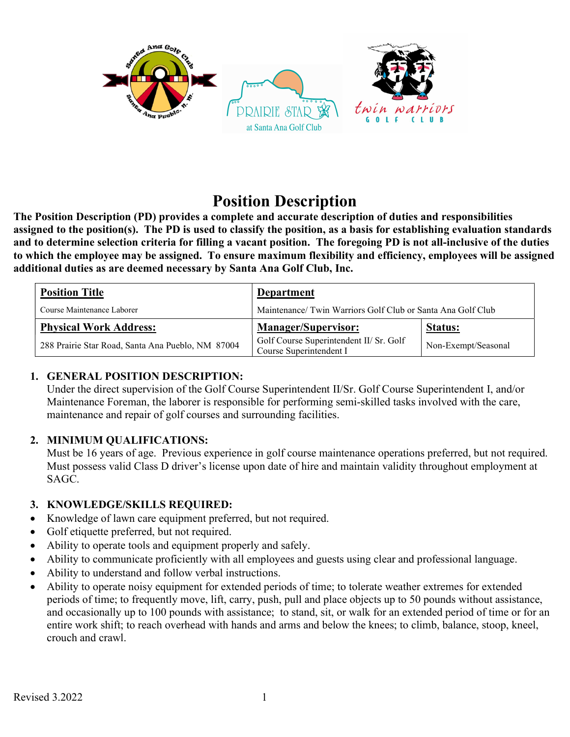

# Position Description

The Position Description (PD) provides a complete and accurate description of duties and responsibilities assigned to the position(s). The PD is used to classify the position, as a basis for establishing evaluation standards and to determine selection criteria for filling a vacant position. The foregoing PD is not all-inclusive of the duties to which the employee may be assigned. To ensure maximum flexibility and efficiency, employees will be assigned additional duties as are deemed necessary by Santa Ana Golf Club, Inc.

| <b>Position Title</b>                             | <b>Department</b>                                                  |                     |
|---------------------------------------------------|--------------------------------------------------------------------|---------------------|
| Course Maintenance Laborer                        | Maintenance/ Twin Warriors Golf Club or Santa Ana Golf Club        |                     |
| <b>Physical Work Address:</b>                     | <b>Manager/Supervisor:</b>                                         | Status:             |
| 288 Prairie Star Road, Santa Ana Pueblo, NM 87004 | Golf Course Superintendent II/ Sr. Golf<br>Course Superintendent I | Non-Exempt/Seasonal |

## 1. GENERAL POSITION DESCRIPTION:

Under the direct supervision of the Golf Course Superintendent II/Sr. Golf Course Superintendent I, and/or Maintenance Foreman, the laborer is responsible for performing semi-skilled tasks involved with the care, maintenance and repair of golf courses and surrounding facilities.

## 2. MINIMUM QUALIFICATIONS:

Must be 16 years of age. Previous experience in golf course maintenance operations preferred, but not required. Must possess valid Class D driver's license upon date of hire and maintain validity throughout employment at SAGC.

## 3. KNOWLEDGE/SKILLS REQUIRED:

- Knowledge of lawn care equipment preferred, but not required.
- Golf etiquette preferred, but not required.
- Ability to operate tools and equipment properly and safely.
- Ability to communicate proficiently with all employees and guests using clear and professional language.
- Ability to understand and follow verbal instructions.
- Ability to operate noisy equipment for extended periods of time; to tolerate weather extremes for extended periods of time; to frequently move, lift, carry, push, pull and place objects up to 50 pounds without assistance, and occasionally up to 100 pounds with assistance; to stand, sit, or walk for an extended period of time or for an entire work shift; to reach overhead with hands and arms and below the knees; to climb, balance, stoop, kneel, crouch and crawl.